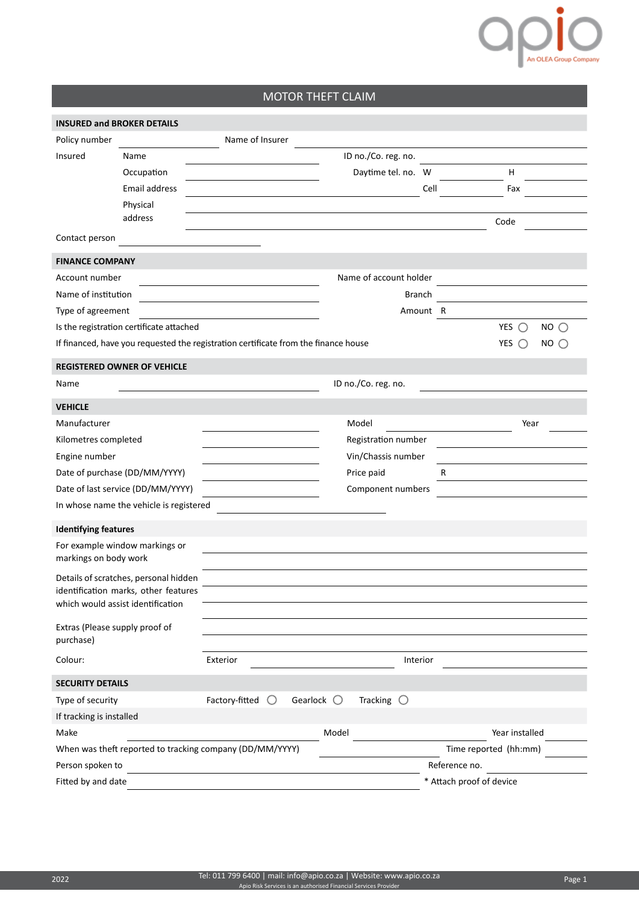## O DIO

## MOTOR THEFT CLAIM

| <b>INSURED and BROKER DETAILS</b>                        |                                          |                                                                                     |                                            |               |                            |
|----------------------------------------------------------|------------------------------------------|-------------------------------------------------------------------------------------|--------------------------------------------|---------------|----------------------------|
| Policy number                                            |                                          | Name of Insurer                                                                     |                                            |               |                            |
| Insured                                                  | Name                                     |                                                                                     | ID no./Co. reg. no.                        |               |                            |
|                                                          | Occupation                               |                                                                                     | Daytime tel. no. W                         |               | H                          |
|                                                          | Email address                            |                                                                                     |                                            | Cell          | Fax                        |
|                                                          | Physical                                 |                                                                                     |                                            |               |                            |
|                                                          | address                                  |                                                                                     |                                            |               | Code                       |
| Contact person                                           |                                          |                                                                                     |                                            |               |                            |
| <b>FINANCE COMPANY</b>                                   |                                          |                                                                                     |                                            |               |                            |
| Account number                                           |                                          |                                                                                     | Name of account holder                     |               |                            |
| Name of institution                                      |                                          |                                                                                     |                                            | <b>Branch</b> |                            |
| Type of agreement                                        |                                          |                                                                                     |                                            | Amount R      |                            |
|                                                          | Is the registration certificate attached |                                                                                     |                                            |               | YES $\bigcirc$<br>$NO$ $O$ |
|                                                          |                                          | If financed, have you requested the registration certificate from the finance house |                                            |               | $NO$ $O$<br>YES $\bigcap$  |
|                                                          | <b>REGISTERED OWNER OF VEHICLE</b>       |                                                                                     |                                            |               |                            |
| Name                                                     |                                          |                                                                                     | ID no./Co. reg. no.                        |               |                            |
|                                                          |                                          |                                                                                     |                                            |               |                            |
| <b>VEHICLE</b>                                           |                                          |                                                                                     |                                            |               |                            |
| Manufacturer                                             |                                          |                                                                                     | Model                                      |               | Year                       |
| Kilometres completed                                     |                                          |                                                                                     | Registration number                        |               |                            |
| Engine number                                            |                                          |                                                                                     | Vin/Chassis number                         |               |                            |
| Date of purchase (DD/MM/YYYY)                            |                                          |                                                                                     | Price paid                                 | R             |                            |
| Date of last service (DD/MM/YYYY)                        |                                          |                                                                                     | Component numbers                          |               |                            |
|                                                          | In whose name the vehicle is registered  |                                                                                     |                                            |               |                            |
| <b>Identifying features</b>                              |                                          |                                                                                     |                                            |               |                            |
| markings on body work                                    | For example window markings or           |                                                                                     |                                            |               |                            |
|                                                          | Details of scratches, personal hidden    |                                                                                     |                                            |               |                            |
|                                                          | identification marks, other features     |                                                                                     |                                            |               |                            |
|                                                          | which would assist identification        |                                                                                     |                                            |               |                            |
| Extras (Please supply proof of<br>purchase)              |                                          |                                                                                     |                                            |               |                            |
| Colour:                                                  |                                          | Exterior                                                                            |                                            |               |                            |
| <b>SECURITY DETAILS</b>                                  |                                          |                                                                                     |                                            |               |                            |
| Type of security                                         |                                          | Factory-fitted $\bigcirc$                                                           | Tracking $\bigcirc$<br>Gearlock $\bigcirc$ |               |                            |
| If tracking is installed                                 |                                          |                                                                                     |                                            |               |                            |
| Make                                                     |                                          |                                                                                     | Model                                      |               | Year installed             |
| When was theft reported to tracking company (DD/MM/YYYY) |                                          |                                                                                     |                                            |               | Time reported (hh:mm)      |
| Person spoken to                                         |                                          |                                                                                     |                                            |               | Reference no.              |
| Fitted by and date                                       |                                          |                                                                                     | * Attach proof of device                   |               |                            |